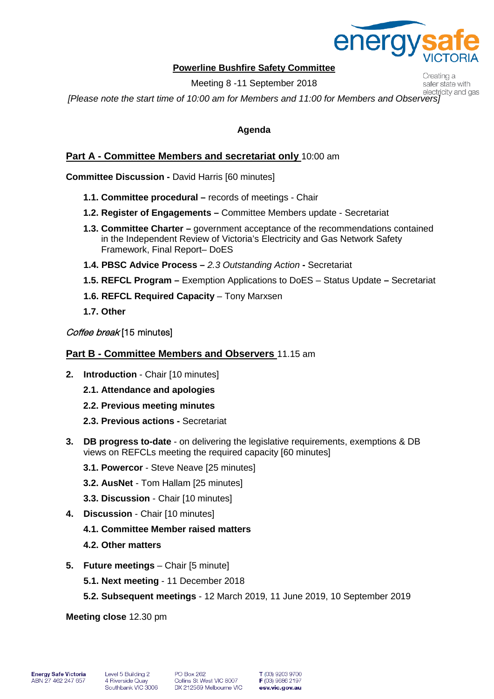

Creating a safer state with

### **Powerline Bushfire Safety Committee**

Meeting 8 -11 September 2018

*[Please note the start time of 10:00 am for Members and 11:00 for Members and Observers]*

### **Agenda**

## **Part A - Committee Members and secretariat only** 10:00 am

**Committee Discussion -** David Harris [60 minutes]

- **1.1. Committee procedural –** records of meetings Chair
- **1.2. Register of Engagements –** Committee Members update Secretariat
- **1.3. Committee Charter –** government acceptance of the recommendations contained in the Independent Review of Victoria's Electricity and Gas Network Safety Framework, Final Report– DoES
- **1.4. PBSC Advice Process –** *2.3 Outstanding Action* **-** Secretariat
- **1.5. REFCL Program –** Exemption Applications to DoES Status Update **–** Secretariat
- **1.6. REFCL Required Capacity** Tony Marxsen
- **1.7. Other**

#### Coffee break [15 minutes]

### **Part B - Committee Members and Observers** 11.15 am

- **2. Introduction** Chair [10 minutes]
	- **2.1. Attendance and apologies**
	- **2.2. Previous meeting minutes**
	- **2.3. Previous actions -** Secretariat
- **3. DB progress to-date** on delivering the legislative requirements, exemptions & DB views on REFCLs meeting the required capacity [60 minutes]
	- **3.1. Powercor** Steve Neave [25 minutes]
	- **3.2. AusNet** Tom Hallam [25 minutes]
	- **3.3. Discussion** Chair [10 minutes]
- **4. Discussion** Chair [10 minutes]
	- **4.1. Committee Member raised matters**
	- **4.2. Other matters**
- **5. Future meetings** Chair [5 minute]
	- **5.1. Next meeting** 11 December 2018
	- **5.2. Subsequent meetings** 12 March 2019, 11 June 2019, 10 September 2019

**Meeting close** 12.30 pm

T (03) 9203 9700  $F(03)$  9686 2197 esv.vic.gov.au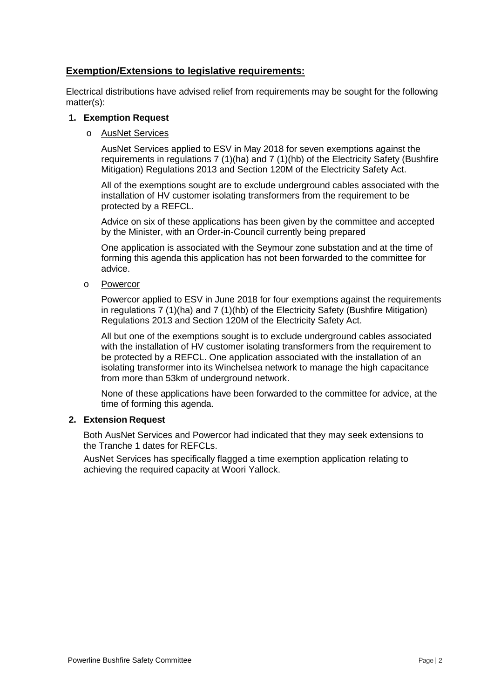## **Exemption/Extensions to legislative requirements:**

Electrical distributions have advised relief from requirements may be sought for the following matter(s):

#### **1. Exemption Request**

#### o AusNet Services

AusNet Services applied to ESV in May 2018 for seven exemptions against the requirements in regulations 7 (1)(ha) and 7 (1)(hb) of the Electricity Safety (Bushfire Mitigation) Regulations 2013 and Section 120M of the Electricity Safety Act.

All of the exemptions sought are to exclude underground cables associated with the installation of HV customer isolating transformers from the requirement to be protected by a REFCL.

Advice on six of these applications has been given by the committee and accepted by the Minister, with an Order-in-Council currently being prepared

One application is associated with the Seymour zone substation and at the time of forming this agenda this application has not been forwarded to the committee for advice.

o Powercor

Powercor applied to ESV in June 2018 for four exemptions against the requirements in regulations 7 (1)(ha) and 7 (1)(hb) of the Electricity Safety (Bushfire Mitigation) Regulations 2013 and Section 120M of the Electricity Safety Act.

All but one of the exemptions sought is to exclude underground cables associated with the installation of HV customer isolating transformers from the requirement to be protected by a REFCL. One application associated with the installation of an isolating transformer into its Winchelsea network to manage the high capacitance from more than 53km of underground network.

None of these applications have been forwarded to the committee for advice, at the time of forming this agenda.

#### **2. Extension Request**

Both AusNet Services and Powercor had indicated that they may seek extensions to the Tranche 1 dates for REFCLs.

AusNet Services has specifically flagged a time exemption application relating to achieving the required capacity at Woori Yallock.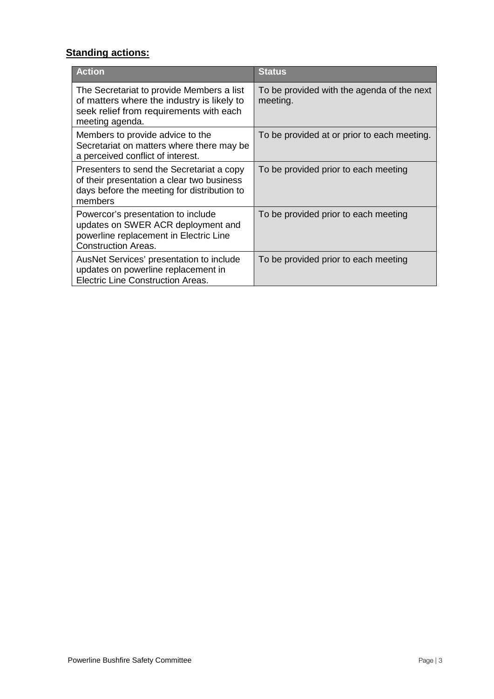# **Standing actions:**

| <b>Action</b>                                                                                                                                         | <b>Status</b>                                          |
|-------------------------------------------------------------------------------------------------------------------------------------------------------|--------------------------------------------------------|
| The Secretariat to provide Members a list<br>of matters where the industry is likely to<br>seek relief from requirements with each<br>meeting agenda. | To be provided with the agenda of the next<br>meeting. |
| Members to provide advice to the<br>Secretariat on matters where there may be<br>a perceived conflict of interest.                                    | To be provided at or prior to each meeting.            |
| Presenters to send the Secretariat a copy<br>of their presentation a clear two business<br>days before the meeting for distribution to<br>members     | To be provided prior to each meeting                   |
| Powercor's presentation to include<br>updates on SWER ACR deployment and<br>powerline replacement in Electric Line<br><b>Construction Areas.</b>      | To be provided prior to each meeting                   |
| AusNet Services' presentation to include<br>updates on powerline replacement in<br><b>Electric Line Construction Areas.</b>                           | To be provided prior to each meeting                   |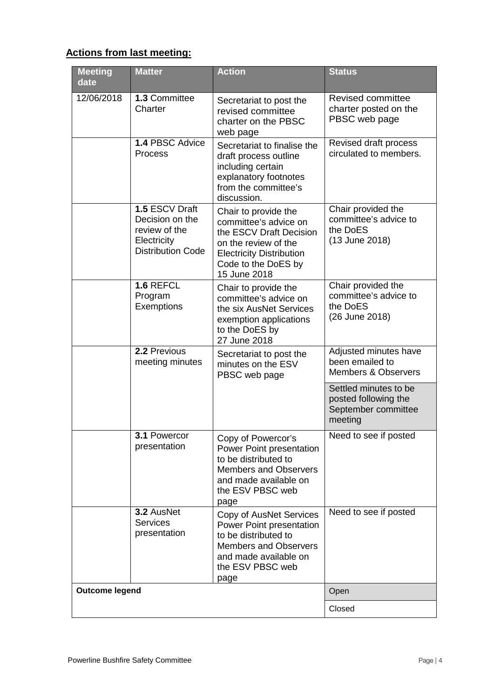# **Actions from last meeting:**

| <b>Meeting</b><br>date | <b>Matter</b>                                                                                 | <b>Action</b>                                                                                                                                                              | <b>Status</b>                                                                   |
|------------------------|-----------------------------------------------------------------------------------------------|----------------------------------------------------------------------------------------------------------------------------------------------------------------------------|---------------------------------------------------------------------------------|
| 12/06/2018             | 1.3 Committee<br>Charter                                                                      | Secretariat to post the<br>revised committee<br>charter on the PBSC<br>web page                                                                                            | <b>Revised committee</b><br>charter posted on the<br>PBSC web page              |
|                        | 1.4 PBSC Advice<br><b>Process</b>                                                             | Secretariat to finalise the<br>draft process outline<br>including certain<br>explanatory footnotes<br>from the committee's<br>discussion.                                  | Revised draft process<br>circulated to members.                                 |
|                        | 1.5 ESCV Draft<br>Decision on the<br>review of the<br>Electricity<br><b>Distribution Code</b> | Chair to provide the<br>committee's advice on<br>the ESCV Draft Decision<br>on the review of the<br><b>Electricity Distribution</b><br>Code to the DoES by<br>15 June 2018 | Chair provided the<br>committee's advice to<br>the DoES<br>(13 June 2018)       |
|                        | 1.6 REFCL<br>Program<br>Exemptions                                                            | Chair to provide the<br>committee's advice on<br>the six AusNet Services<br>exemption applications<br>to the DoES by<br>27 June 2018                                       | Chair provided the<br>committee's advice to<br>the DoES<br>(26 June 2018)       |
|                        | 2.2 Previous<br>meeting minutes                                                               | Secretariat to post the<br>minutes on the ESV<br>PBSC web page                                                                                                             | Adjusted minutes have<br>been emailed to<br><b>Members &amp; Observers</b>      |
|                        |                                                                                               |                                                                                                                                                                            | Settled minutes to be<br>posted following the<br>September committee<br>meeting |
|                        | 3.1 Powercor<br>presentation                                                                  | Copy of Powercor's<br>Power Point presentation<br>to be distributed to<br><b>Members and Observers</b><br>and made available on<br>the ESV PBSC web<br>page                | Need to see if posted                                                           |
|                        | 3.2 AusNet<br><b>Services</b><br>presentation                                                 | Copy of AusNet Services<br>Power Point presentation<br>to be distributed to<br><b>Members and Observers</b><br>and made available on<br>the ESV PBSC web<br>page           | Need to see if posted                                                           |
| <b>Outcome legend</b>  |                                                                                               |                                                                                                                                                                            | Open                                                                            |
|                        |                                                                                               |                                                                                                                                                                            | Closed                                                                          |